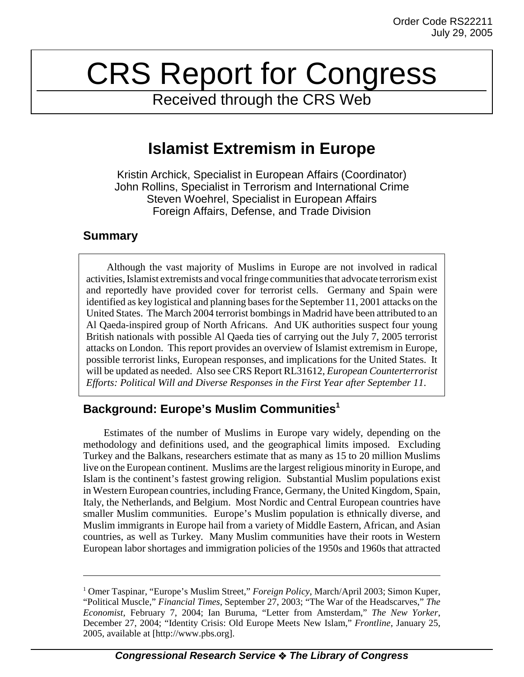# CRS Report for Congress

Received through the CRS Web

## **Islamist Extremism in Europe**

Kristin Archick, Specialist in European Affairs (Coordinator) John Rollins, Specialist in Terrorism and International Crime Steven Woehrel, Specialist in European Affairs Foreign Affairs, Defense, and Trade Division

## **Summary**

Although the vast majority of Muslims in Europe are not involved in radical activities, Islamist extremists and vocal fringe communities that advocate terrorism exist and reportedly have provided cover for terrorist cells. Germany and Spain were identified as key logistical and planning bases for the September 11, 2001 attacks on the United States. The March 2004 terrorist bombings in Madrid have been attributed to an Al Qaeda-inspired group of North Africans. And UK authorities suspect four young British nationals with possible Al Qaeda ties of carrying out the July 7, 2005 terrorist attacks on London. This report provides an overview of Islamist extremism in Europe, possible terrorist links, European responses, and implications for the United States. It will be updated as needed. Also see CRS Report RL31612, *European Counterterrorist Efforts: Political Will and Diverse Responses in the First Year after September 11*.

## **Background: Europe's Muslim Communities1**

Estimates of the number of Muslims in Europe vary widely, depending on the methodology and definitions used, and the geographical limits imposed. Excluding Turkey and the Balkans, researchers estimate that as many as 15 to 20 million Muslims live on the European continent. Muslims are the largest religious minority in Europe, and Islam is the continent's fastest growing religion. Substantial Muslim populations exist in Western European countries, including France, Germany, the United Kingdom, Spain, Italy, the Netherlands, and Belgium. Most Nordic and Central European countries have smaller Muslim communities. Europe's Muslim population is ethnically diverse, and Muslim immigrants in Europe hail from a variety of Middle Eastern, African, and Asian countries, as well as Turkey. Many Muslim communities have their roots in Western European labor shortages and immigration policies of the 1950s and 1960s that attracted

<sup>&</sup>lt;sup>1</sup> Omer Taspinar, "Europe's Muslim Street," *Foreign Policy*, March/April 2003; Simon Kuper, "Political Muscle," *Financial Times*, September 27, 2003; "The War of the Headscarves," *The Economist*, February 7, 2004; Ian Buruma, "Letter from Amsterdam," *The New Yorker*, December 27, 2004; "Identity Crisis: Old Europe Meets New Islam," *Frontline*, January 25, 2005, available at [http://www.pbs.org].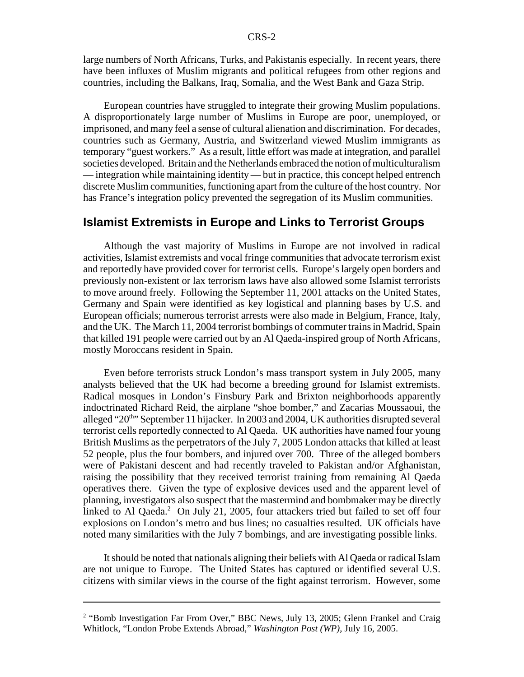large numbers of North Africans, Turks, and Pakistanis especially. In recent years, there have been influxes of Muslim migrants and political refugees from other regions and countries, including the Balkans, Iraq, Somalia, and the West Bank and Gaza Strip.

European countries have struggled to integrate their growing Muslim populations. A disproportionately large number of Muslims in Europe are poor, unemployed, or imprisoned, and many feel a sense of cultural alienation and discrimination. For decades, countries such as Germany, Austria, and Switzerland viewed Muslim immigrants as temporary "guest workers." As a result, little effort was made at integration, and parallel societies developed. Britain and the Netherlands embraced the notion of multiculturalism — integration while maintaining identity — but in practice, this concept helped entrench discrete Muslim communities, functioning apart from the culture of the host country. Nor has France's integration policy prevented the segregation of its Muslim communities.

### **Islamist Extremists in Europe and Links to Terrorist Groups**

Although the vast majority of Muslims in Europe are not involved in radical activities, Islamist extremists and vocal fringe communities that advocate terrorism exist and reportedly have provided cover for terrorist cells. Europe's largely open borders and previously non-existent or lax terrorism laws have also allowed some Islamist terrorists to move around freely. Following the September 11, 2001 attacks on the United States, Germany and Spain were identified as key logistical and planning bases by U.S. and European officials; numerous terrorist arrests were also made in Belgium, France, Italy, and the UK. The March 11, 2004 terrorist bombings of commuter trains in Madrid, Spain that killed 191 people were carried out by an Al Qaeda-inspired group of North Africans, mostly Moroccans resident in Spain.

Even before terrorists struck London's mass transport system in July 2005, many analysts believed that the UK had become a breeding ground for Islamist extremists. Radical mosques in London's Finsbury Park and Brixton neighborhoods apparently indoctrinated Richard Reid, the airplane "shoe bomber," and Zacarias Moussaoui, the alleged "20<sup>th</sup>" September 11 hijacker. In 2003 and 2004, UK authorities disrupted several terrorist cells reportedly connected to Al Qaeda. UK authorities have named four young British Muslims as the perpetrators of the July 7, 2005 London attacks that killed at least 52 people, plus the four bombers, and injured over 700. Three of the alleged bombers were of Pakistani descent and had recently traveled to Pakistan and/or Afghanistan, raising the possibility that they received terrorist training from remaining Al Qaeda operatives there. Given the type of explosive devices used and the apparent level of planning, investigators also suspect that the mastermind and bombmaker may be directly linked to Al Qaeda.<sup>2</sup> On July 21, 2005, four attackers tried but failed to set off four explosions on London's metro and bus lines; no casualties resulted. UK officials have noted many similarities with the July 7 bombings, and are investigating possible links.

It should be noted that nationals aligning their beliefs with Al Qaeda or radical Islam are not unique to Europe. The United States has captured or identified several U.S. citizens with similar views in the course of the fight against terrorism. However, some

<sup>&</sup>lt;sup>2</sup> "Bomb Investigation Far From Over," BBC News, July 13, 2005; Glenn Frankel and Craig Whitlock, "London Probe Extends Abroad," *Washington Post (WP)*, July 16, 2005.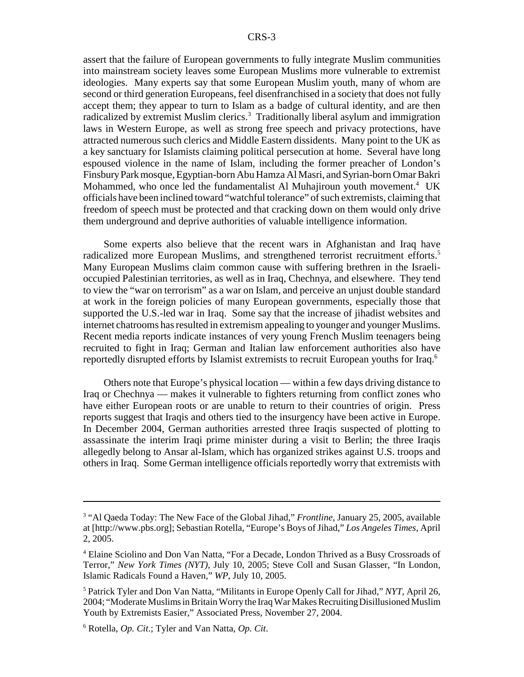assert that the failure of European governments to fully integrate Muslim communities into mainstream society leaves some European Muslims more vulnerable to extremist ideologies. Many experts say that some European Muslim youth, many of whom are second or third generation Europeans, feel disenfranchised in a society that does not fully accept them; they appear to turn to Islam as a badge of cultural identity, and are then radicalized by extremist Muslim clerics.<sup>3</sup> Traditionally liberal asylum and immigration laws in Western Europe, as well as strong free speech and privacy protections, have attracted numerous such clerics and Middle Eastern dissidents. Many point to the UK as a key sanctuary for Islamists claiming political persecution at home. Several have long espoused violence in the name of Islam, including the former preacher of London's Finsbury Park mosque, Egyptian-born Abu Hamza Al Masri, and Syrian-born Omar Bakri Mohammed, who once led the fundamentalist Al Muhajiroun youth movement.<sup>4</sup> UK officials have been inclined toward "watchful tolerance" of such extremists, claiming that freedom of speech must be protected and that cracking down on them would only drive them underground and deprive authorities of valuable intelligence information.

Some experts also believe that the recent wars in Afghanistan and Iraq have radicalized more European Muslims, and strengthened terrorist recruitment efforts.<sup>5</sup> Many European Muslims claim common cause with suffering brethren in the Israelioccupied Palestinian territories, as well as in Iraq, Chechnya, and elsewhere. They tend to view the "war on terrorism" as a war on Islam, and perceive an unjust double standard at work in the foreign policies of many European governments, especially those that supported the U.S.-led war in Iraq. Some say that the increase of jihadist websites and internet chatrooms has resulted in extremism appealing to younger and younger Muslims. Recent media reports indicate instances of very young French Muslim teenagers being recruited to fight in Iraq; German and Italian law enforcement authorities also have reportedly disrupted efforts by Islamist extremists to recruit European youths for Iraq.6

Others note that Europe's physical location — within a few days driving distance to Iraq or Chechnya — makes it vulnerable to fighters returning from conflict zones who have either European roots or are unable to return to their countries of origin. Press reports suggest that Iraqis and others tied to the insurgency have been active in Europe. In December 2004, German authorities arrested three Iraqis suspected of plotting to assassinate the interim Iraqi prime minister during a visit to Berlin; the three Iraqis allegedly belong to Ansar al-Islam, which has organized strikes against U.S. troops and others in Iraq. Some German intelligence officials reportedly worry that extremists with

<sup>&</sup>lt;sup>3</sup> "Al Qaeda Today: The New Face of the Global Jihad," *Frontline*, January 25, 2005, available at [http://www.pbs.org]; Sebastian Rotella, "Europe's Boys of Jihad," *Los Angeles Times*, April 2, 2005.

<sup>&</sup>lt;sup>4</sup> Elaine Sciolino and Don Van Natta, "For a Decade, London Thrived as a Busy Crossroads of Terror," *New York Times (NYT)*, July 10, 2005; Steve Coll and Susan Glasser, "In London, Islamic Radicals Found a Haven," *WP*, July 10, 2005.

<sup>5</sup> Patrick Tyler and Don Van Natta, "Militants in Europe Openly Call for Jihad," *NYT*, April 26, 2004; "Moderate Muslims in Britain Worry the Iraq War Makes Recruiting Disillusioned Muslim Youth by Extremists Easier," Associated Press, November 27, 2004.

<sup>6</sup> Rotella, *Op. Cit*.; Tyler and Van Natta, *Op. Cit*.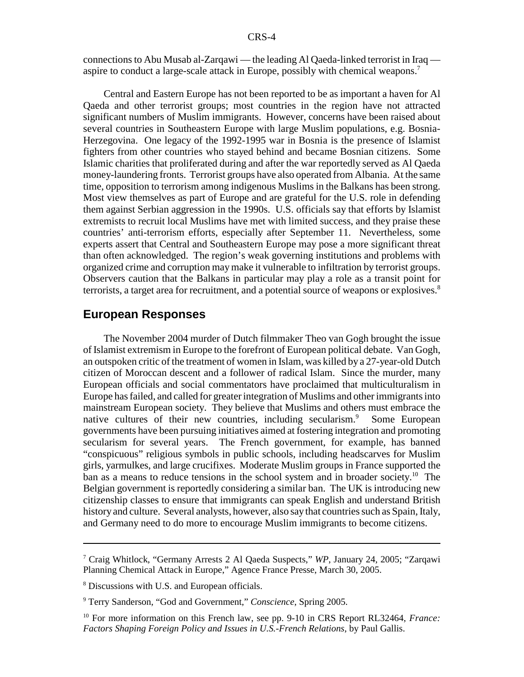connections to Abu Musab al-Zarqawi — the leading Al Qaeda-linked terrorist in Iraq aspire to conduct a large-scale attack in Europe, possibly with chemical weapons.7

Central and Eastern Europe has not been reported to be as important a haven for Al Qaeda and other terrorist groups; most countries in the region have not attracted significant numbers of Muslim immigrants. However, concerns have been raised about several countries in Southeastern Europe with large Muslim populations, e.g. Bosnia-Herzegovina. One legacy of the 1992-1995 war in Bosnia is the presence of Islamist fighters from other countries who stayed behind and became Bosnian citizens. Some Islamic charities that proliferated during and after the war reportedly served as Al Qaeda money-laundering fronts. Terrorist groups have also operated from Albania. At the same time, opposition to terrorism among indigenous Muslims in the Balkans has been strong. Most view themselves as part of Europe and are grateful for the U.S. role in defending them against Serbian aggression in the 1990s. U.S. officials say that efforts by Islamist extremists to recruit local Muslims have met with limited success, and they praise these countries' anti-terrorism efforts, especially after September 11. Nevertheless, some experts assert that Central and Southeastern Europe may pose a more significant threat than often acknowledged. The region's weak governing institutions and problems with organized crime and corruption may make it vulnerable to infiltration by terrorist groups. Observers caution that the Balkans in particular may play a role as a transit point for terrorists, a target area for recruitment, and a potential source of weapons or explosives.<sup>8</sup>

#### **European Responses**

The November 2004 murder of Dutch filmmaker Theo van Gogh brought the issue of Islamist extremism in Europe to the forefront of European political debate. Van Gogh, an outspoken critic of the treatment of women in Islam, was killed by a 27-year-old Dutch citizen of Moroccan descent and a follower of radical Islam. Since the murder, many European officials and social commentators have proclaimed that multiculturalism in Europe has failed, and called for greater integration of Muslims and other immigrants into mainstream European society. They believe that Muslims and others must embrace the native cultures of their new countries, including secularism.<sup>9</sup> Some European governments have been pursuing initiatives aimed at fostering integration and promoting secularism for several years. The French government, for example, has banned "conspicuous" religious symbols in public schools, including headscarves for Muslim girls, yarmulkes, and large crucifixes. Moderate Muslim groups in France supported the ban as a means to reduce tensions in the school system and in broader society.10 The Belgian government is reportedly considering a similar ban. The UK is introducing new citizenship classes to ensure that immigrants can speak English and understand British history and culture. Several analysts, however, also say that countries such as Spain, Italy, and Germany need to do more to encourage Muslim immigrants to become citizens.

<sup>7</sup> Craig Whitlock, "Germany Arrests 2 Al Qaeda Suspects," *WP*, January 24, 2005; "Zarqawi Planning Chemical Attack in Europe," Agence France Presse, March 30, 2005.

<sup>&</sup>lt;sup>8</sup> Discussions with U.S. and European officials.

<sup>9</sup> Terry Sanderson, "God and Government," *Conscience*, Spring 2005.

<sup>10</sup> For more information on this French law, see pp. 9-10 in CRS Report RL32464, *France: Factors Shaping Foreign Policy and Issues in U.S.-French Relations*, by Paul Gallis.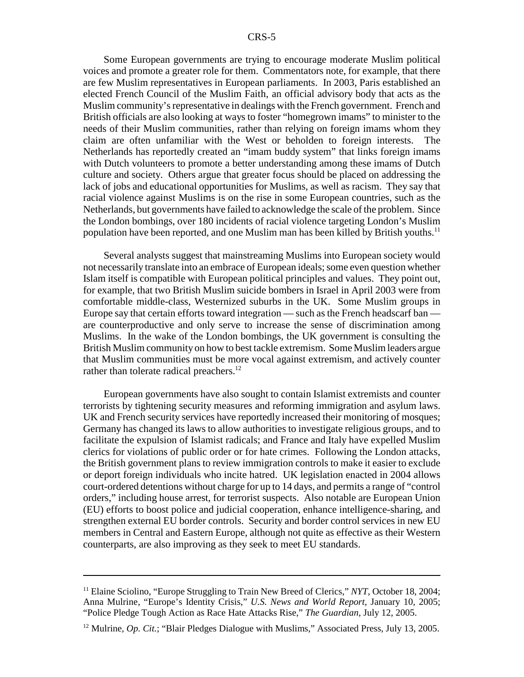Some European governments are trying to encourage moderate Muslim political voices and promote a greater role for them. Commentators note, for example, that there are few Muslim representatives in European parliaments. In 2003, Paris established an elected French Council of the Muslim Faith, an official advisory body that acts as the Muslim community's representative in dealings with the French government. French and British officials are also looking at ways to foster "homegrown imams" to minister to the needs of their Muslim communities, rather than relying on foreign imams whom they claim are often unfamiliar with the West or beholden to foreign interests. The Netherlands has reportedly created an "imam buddy system" that links foreign imams with Dutch volunteers to promote a better understanding among these imams of Dutch culture and society. Others argue that greater focus should be placed on addressing the lack of jobs and educational opportunities for Muslims, as well as racism. They say that racial violence against Muslims is on the rise in some European countries, such as the Netherlands, but governments have failed to acknowledge the scale of the problem. Since the London bombings, over 180 incidents of racial violence targeting London's Muslim population have been reported, and one Muslim man has been killed by British youths.11

Several analysts suggest that mainstreaming Muslims into European society would not necessarily translate into an embrace of European ideals; some even question whether Islam itself is compatible with European political principles and values. They point out, for example, that two British Muslim suicide bombers in Israel in April 2003 were from comfortable middle-class, Westernized suburbs in the UK. Some Muslim groups in Europe say that certain efforts toward integration — such as the French headscarf ban are counterproductive and only serve to increase the sense of discrimination among Muslims. In the wake of the London bombings, the UK government is consulting the British Muslim community on how to best tackle extremism. Some Muslim leaders argue that Muslim communities must be more vocal against extremism, and actively counter rather than tolerate radical preachers.<sup>12</sup>

European governments have also sought to contain Islamist extremists and counter terrorists by tightening security measures and reforming immigration and asylum laws. UK and French security services have reportedly increased their monitoring of mosques; Germany has changed its laws to allow authorities to investigate religious groups, and to facilitate the expulsion of Islamist radicals; and France and Italy have expelled Muslim clerics for violations of public order or for hate crimes. Following the London attacks, the British government plans to review immigration controls to make it easier to exclude or deport foreign individuals who incite hatred. UK legislation enacted in 2004 allows court-ordered detentions without charge for up to 14 days, and permits a range of "control orders," including house arrest, for terrorist suspects. Also notable are European Union (EU) efforts to boost police and judicial cooperation, enhance intelligence-sharing, and strengthen external EU border controls. Security and border control services in new EU members in Central and Eastern Europe, although not quite as effective as their Western counterparts, are also improving as they seek to meet EU standards.

<sup>11</sup> Elaine Sciolino, "Europe Struggling to Train New Breed of Clerics," *NYT*, October 18, 2004; Anna Mulrine, "Europe's Identity Crisis," *U.S. News and World Report*, January 10, 2005; "Police Pledge Tough Action as Race Hate Attacks Rise," *The Guardian*, July 12, 2005.

<sup>&</sup>lt;sup>12</sup> Mulrine, *Op. Cit.*; "Blair Pledges Dialogue with Muslims," Associated Press, July 13, 2005.